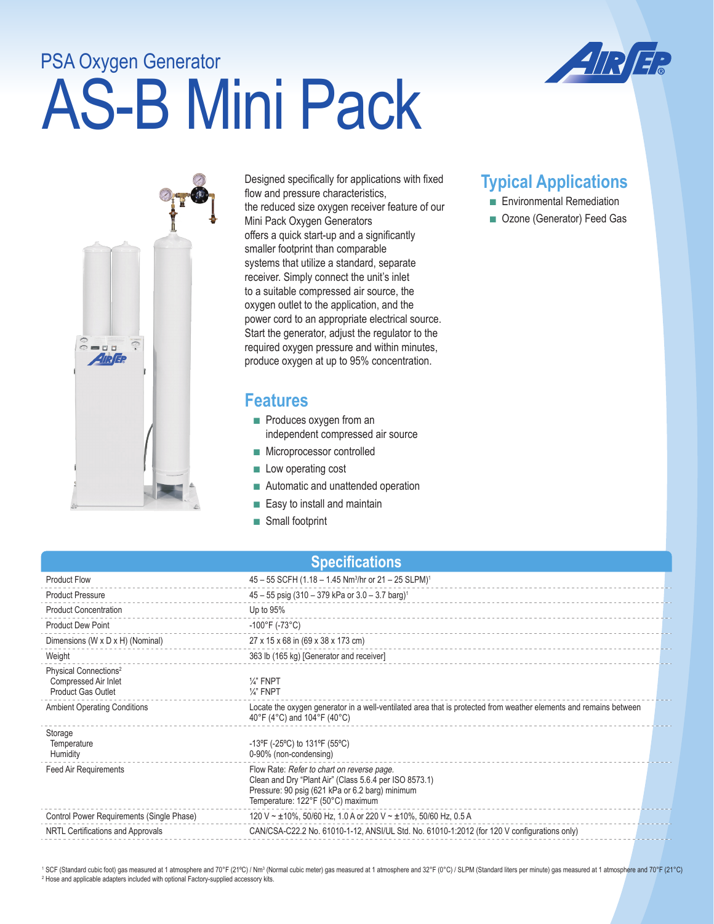# AS-B Mini Pack PSA Oxygen Generator





Designed specifically for applications with fixed flow and pressure characteristics, the reduced size oxygen receiver feature of our Mini Pack Oxygen Generators offers a quick start-up and a significantly smaller footprint than comparable systems that utilize a standard, separate receiver. Simply connect the unit's inlet to a suitable compressed air source, the oxygen outlet to the application, and the power cord to an appropriate electrical source. Start the generator, adjust the regulator to the required oxygen pressure and within minutes, produce oxygen at up to 95% concentration.

### **Features**

- Produces oxygen from an independent compressed air source
- Microprocessor controlled
- Low operating cost
- Automatic and unattended operation
- Easy to install and maintain
- Small footprint

## **Typical Applications**

- Environmental Remediation
- Ozone (Generator) Feed Gas

| <b>Specifications</b> |  |  |
|-----------------------|--|--|
|                       |  |  |

| <b>Product Flow</b>                                                             | 45 - 55 SCFH (1.18 - 1.45 Nm <sup>3</sup> /hr or 21 - 25 SLPM) <sup>1</sup>                                                                                                                  |
|---------------------------------------------------------------------------------|----------------------------------------------------------------------------------------------------------------------------------------------------------------------------------------------|
| <b>Product Pressure</b>                                                         | $45 - 55$ psig (310 - 379 kPa or 3.0 - 3.7 barg) <sup>1</sup>                                                                                                                                |
| <b>Product Concentration</b>                                                    | Up to $95%$                                                                                                                                                                                  |
| <b>Product Dew Point</b>                                                        | $-100^{\circ}$ F (-73 $^{\circ}$ C)                                                                                                                                                          |
| Dimensions (W x D x H) (Nominal)                                                | 27 x 15 x 68 in (69 x 38 x 173 cm)                                                                                                                                                           |
| Weight                                                                          | 363 lb (165 kg) [Generator and receiver]                                                                                                                                                     |
| Physical Connections <sup>2</sup><br>Compressed Air Inlet<br>Product Gas Outlet | $\frac{1}{4}$ FNPT<br>$\frac{1}{4}$ FNPT                                                                                                                                                     |
| <b>Ambient Operating Conditions</b>                                             | Locate the oxygen generator in a well-ventilated area that is protected from weather elements and remains between<br>40°F (4°C) and 104°F (40°C)                                             |
| Storage<br>Temperature<br><b>Humidity</b>                                       | -13°F (-25°C) to 131°F (55°C)<br>0-90% (non-condensing)                                                                                                                                      |
| Feed Air Requirements                                                           | Flow Rate: Refer to chart on reverse page.<br>Clean and Dry "Plant Air" (Class 5.6.4 per ISO 8573.1)<br>Pressure: 90 psig (621 kPa or 6.2 barg) minimum<br>Temperature: 122°F (50°C) maximum |
| Control Power Requirements (Single Phase)                                       | 120 V ~ $\pm$ 10%, 50/60 Hz, 1.0 A or 220 V ~ $\pm$ 10%, 50/60 Hz, 0.5 A                                                                                                                     |
| NRTL Certifications and Approvals                                               | CAN/CSA-C22.2 No. 61010-1-12, ANSI/UL Std. No. 61010-1:2012 (for 120 V configurations only)                                                                                                  |
|                                                                                 |                                                                                                                                                                                              |

<sup>1</sup> SCF (Standard cubic foot) gas measured at 1 atmosphere and 70°F (21°C) / Nm<sup>3</sup> (Normal cubic meter) gas measured at 1 atmosphere and 32°F (0°C) / SLPM (Standard liters per minute) gas measured at 1 atmosphere and 70°F <sup>2</sup> Hose and applicable adapters included with optional Factory-supplied accessory kits.